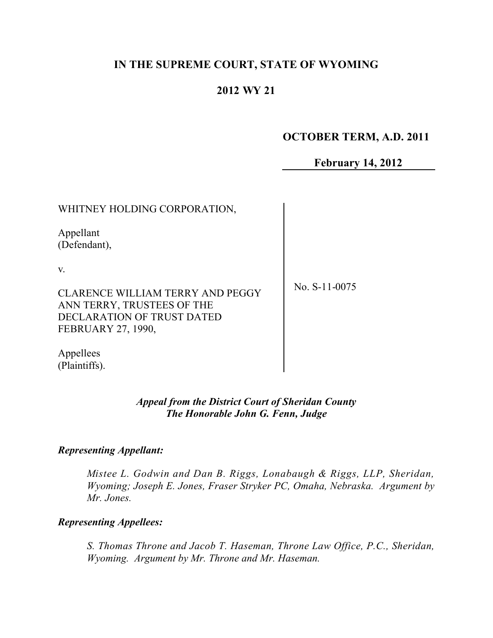# **IN THE SUPREME COURT, STATE OF WYOMING**

# **2012 WY 21**

# **OCTOBER TERM, A.D. 2011**

# **February 14, 2012**

| WHITNEY HOLDING CORPORATION,                                                                                              |               |
|---------------------------------------------------------------------------------------------------------------------------|---------------|
| Appellant<br>(Defendant),                                                                                                 |               |
| V.                                                                                                                        |               |
| <b>CLARENCE WILLIAM TERRY AND PEGGY</b><br>ANN TERRY, TRUSTEES OF THE<br>DECLARATION OF TRUST DATED<br>FEBRUARY 27, 1990, | No. S-11-0075 |
| Appellees<br>(Plaintiffs).                                                                                                |               |

### *Appeal from the District Court of Sheridan County The Honorable John G. Fenn, Judge*

## *Representing Appellant:*

*Mistee L. Godwin and Dan B. Riggs, Lonabaugh & Riggs, LLP, Sheridan, Wyoming; Joseph E. Jones, Fraser Stryker PC, Omaha, Nebraska. Argument by Mr. Jones.*

# *Representing Appellees:*

*S. Thomas Throne and Jacob T. Haseman, Throne Law Office, P.C., Sheridan, Wyoming. Argument by Mr. Throne and Mr. Haseman.*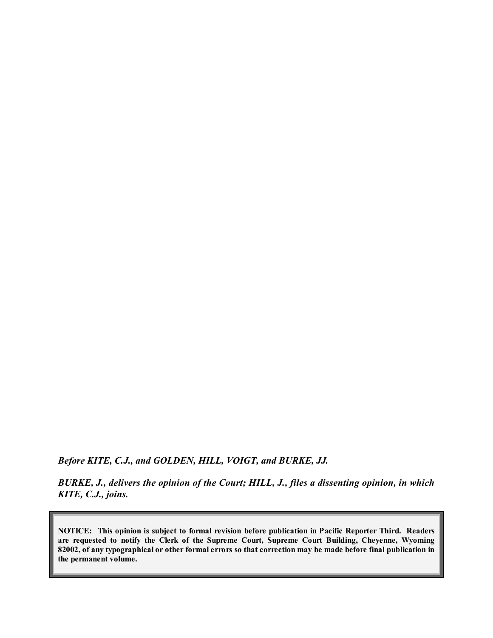*Before KITE, C.J., and GOLDEN, HILL, VOIGT, and BURKE, JJ.*

*BURKE, J., delivers the opinion of the Court; HILL, J., files a dissenting opinion, in which KITE, C.J., joins.*

**NOTICE: This opinion is subject to formal revision before publication in Pacific Reporter Third. Readers are requested to notify the Clerk of the Supreme Court, Supreme Court Building, Cheyenne, Wyoming** 82002, of any typographical or other formal errors so that correction may be made before final publication in **the permanent volume.**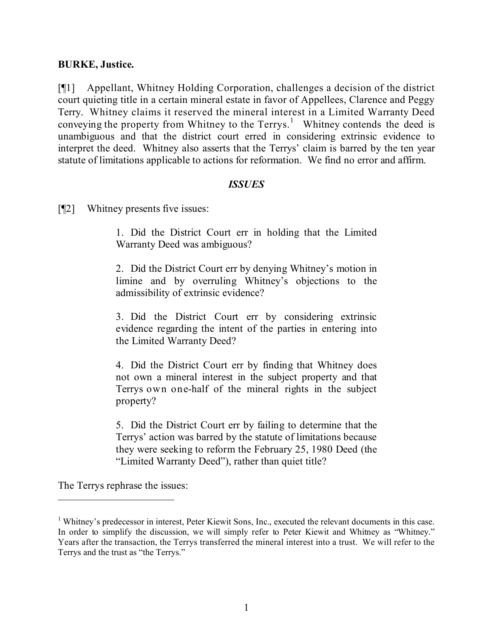#### **BURKE, Justice.**

[¶1] Appellant, Whitney Holding Corporation, challenges a decision of the district court quieting title in a certain mineral estate in favor of Appellees, Clarence and Peggy Terry. Whitney claims it reserved the mineral interest in a Limited Warranty Deed conveying the property from Whitney to the Terrys.<sup>1</sup> Whitney contends the deed is unambiguous and that the district court erred in considering extrinsic evidence to interpret the deed. Whitney also asserts that the Terrys' claim is barred by the ten year statute of limitations applicable to actions for reformation. We find no error and affirm.

### *ISSUES*

[¶2] Whitney presents five issues:

1. Did the District Court err in holding that the Limited Warranty Deed was ambiguous?

2. Did the District Court err by denying Whitney's motion in limine and by overruling Whitney's objections to the admissibility of extrinsic evidence?

3. Did the District Court err by considering extrinsic evidence regarding the intent of the parties in entering into the Limited Warranty Deed?

4. Did the District Court err by finding that Whitney does not own a mineral interest in the subject property and that Terrys own one-half of the mineral rights in the subject property?

5. Did the District Court err by failing to determine that the Terrys' action was barred by the statute of limitations because they were seeking to reform the February 25, 1980 Deed (the "Limited Warranty Deed"), rather than quiet title?

The Terrys rephrase the issues:

<sup>&</sup>lt;sup>1</sup> Whitney's predecessor in interest, Peter Kiewit Sons, Inc., executed the relevant documents in this case. In order to simplify the discussion, we will simply refer to Peter Kiewit and Whitney as "Whitney." Years after the transaction, the Terrys transferred the mineral interest into a trust. We will refer to the Terrys and the trust as "the Terrys."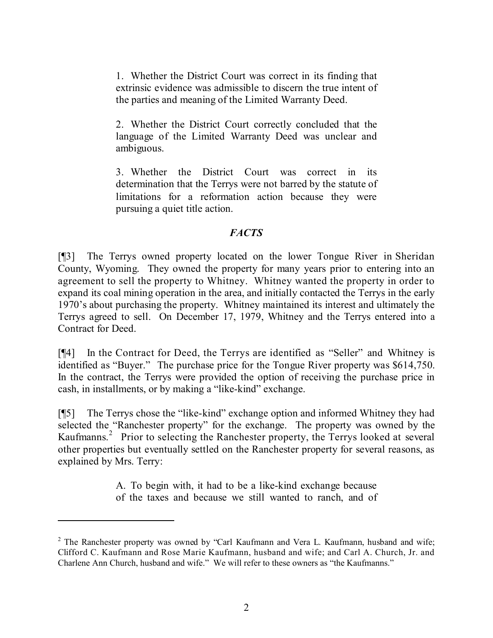1. Whether the District Court was correct in its finding that extrinsic evidence was admissible to discern the true intent of the parties and meaning of the Limited Warranty Deed.

2. Whether the District Court correctly concluded that the language of the Limited Warranty Deed was unclear and ambiguous.

3. Whether the District Court was correct in its determination that the Terrys were not barred by the statute of limitations for a reformation action because they were pursuing a quiet title action.

# *FACTS*

[¶3] The Terrys owned property located on the lower Tongue River in Sheridan County, Wyoming. They owned the property for many years prior to entering into an agreement to sell the property to Whitney. Whitney wanted the property in order to expand its coal mining operation in the area, and initially contacted the Terrys in the early 1970's about purchasing the property. Whitney maintained its interest and ultimately the Terrys agreed to sell. On December 17, 1979, Whitney and the Terrys entered into a Contract for Deed.

[¶4] In the Contract for Deed, the Terrys are identified as "Seller" and Whitney is identified as "Buyer." The purchase price for the Tongue River property was \$614,750. In the contract, the Terrys were provided the option of receiving the purchase price in cash, in installments, or by making a "like-kind" exchange.

[¶5] The Terrys chose the "like-kind" exchange option and informed Whitney they had selected the "Ranchester property" for the exchange. The property was owned by the Kaufmanns. 2 Prior to selecting the Ranchester property, the Terrys looked at several other properties but eventually settled on the Ranchester property for several reasons, as explained by Mrs. Terry:

> A. To begin with, it had to be a like-kind exchange because of the taxes and because we still wanted to ranch, and of

 $2$  The Ranchester property was owned by "Carl Kaufmann and Vera L. Kaufmann, husband and wife; Clifford C. Kaufmann and Rose Marie Kaufmann, husband and wife; and Carl A. Church, Jr. and Charlene Ann Church, husband and wife." We will refer to these owners as "the Kaufmanns."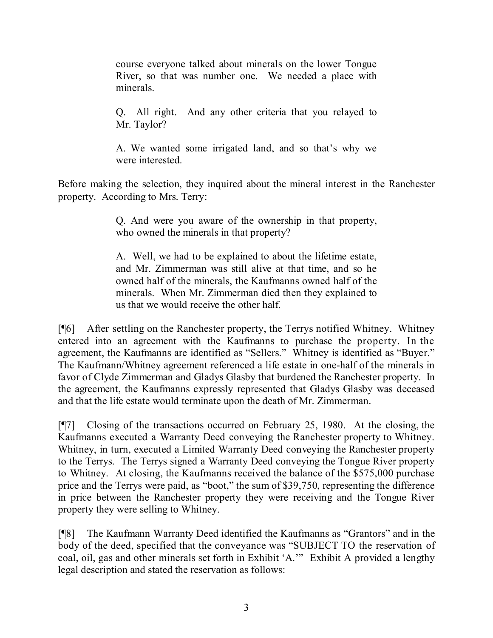course everyone talked about minerals on the lower Tongue River, so that was number one. We needed a place with minerals.

Q. All right. And any other criteria that you relayed to Mr. Taylor?

A. We wanted some irrigated land, and so that's why we were interested.

Before making the selection, they inquired about the mineral interest in the Ranchester property. According to Mrs. Terry:

> Q. And were you aware of the ownership in that property, who owned the minerals in that property?

> A. Well, we had to be explained to about the lifetime estate, and Mr. Zimmerman was still alive at that time, and so he owned half of the minerals, the Kaufmanns owned half of the minerals. When Mr. Zimmerman died then they explained to us that we would receive the other half.

[¶6] After settling on the Ranchester property, the Terrys notified Whitney. Whitney entered into an agreement with the Kaufmanns to purchase the property. In the agreement, the Kaufmanns are identified as "Sellers." Whitney is identified as "Buyer." The Kaufmann/Whitney agreement referenced a life estate in one-half of the minerals in favor of Clyde Zimmerman and Gladys Glasby that burdened the Ranchester property. In the agreement, the Kaufmanns expressly represented that Gladys Glasby was deceased and that the life estate would terminate upon the death of Mr. Zimmerman.

[¶7] Closing of the transactions occurred on February 25, 1980. At the closing, the Kaufmanns executed a Warranty Deed conveying the Ranchester property to Whitney. Whitney, in turn, executed a Limited Warranty Deed conveying the Ranchester property to the Terrys. The Terrys signed a Warranty Deed conveying the Tongue River property to Whitney. At closing, the Kaufmanns received the balance of the \$575,000 purchase price and the Terrys were paid, as "boot," the sum of \$39,750, representing the difference in price between the Ranchester property they were receiving and the Tongue River property they were selling to Whitney.

[¶8] The Kaufmann Warranty Deed identified the Kaufmanns as "Grantors" and in the body of the deed, specified that the conveyance was "SUBJECT TO the reservation of coal, oil, gas and other minerals set forth in Exhibit 'A.'" Exhibit A provided a lengthy legal description and stated the reservation as follows: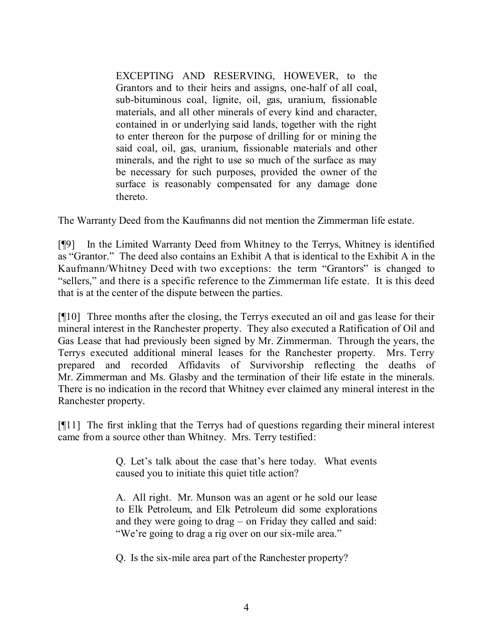EXCEPTING AND RESERVING, HOWEVER, to the Grantors and to their heirs and assigns, one-half of all coal, sub-bituminous coal, lignite, oil, gas, uranium, fissionable materials, and all other minerals of every kind and character, contained in or underlying said lands, together with the right to enter thereon for the purpose of drilling for or mining the said coal, oil, gas, uranium, fissionable materials and other minerals, and the right to use so much of the surface as may be necessary for such purposes, provided the owner of the surface is reasonably compensated for any damage done thereto.

The Warranty Deed from the Kaufmanns did not mention the Zimmerman life estate.

[¶9] In the Limited Warranty Deed from Whitney to the Terrys, Whitney is identified as "Grantor." The deed also contains an Exhibit A that is identical to the Exhibit A in the Kaufmann/Whitney Deed with two exceptions: the term "Grantors" is changed to "sellers," and there is a specific reference to the Zimmerman life estate. It is this deed that is at the center of the dispute between the parties.

[¶10] Three months after the closing, the Terrys executed an oil and gas lease for their mineral interest in the Ranchester property. They also executed a Ratification of Oil and Gas Lease that had previously been signed by Mr. Zimmerman. Through the years, the Terrys executed additional mineral leases for the Ranchester property. Mrs. Terry prepared and recorded Affidavits of Survivorship reflecting the deaths of Mr. Zimmerman and Ms. Glasby and the termination of their life estate in the minerals. There is no indication in the record that Whitney ever claimed any mineral interest in the Ranchester property.

[¶11] The first inkling that the Terrys had of questions regarding their mineral interest came from a source other than Whitney. Mrs. Terry testified:

> Q. Let's talk about the case that's here today. What events caused you to initiate this quiet title action?

> A. All right. Mr. Munson was an agent or he sold our lease to Elk Petroleum, and Elk Petroleum did some explorations and they were going to drag – on Friday they called and said: "We're going to drag a rig over on our six-mile area."

Q. Is the six-mile area part of the Ranchester property?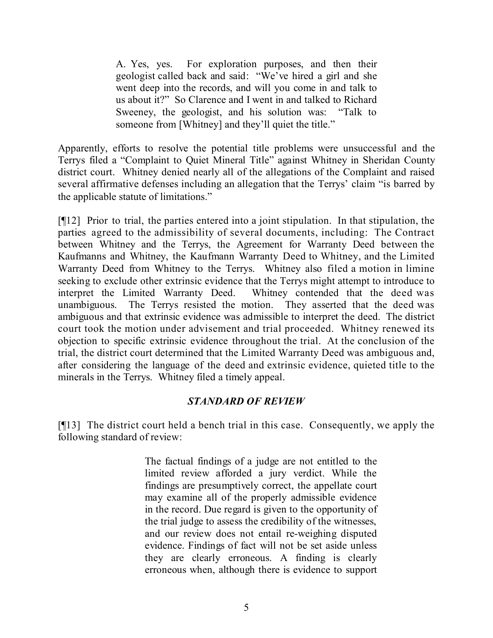A. Yes, yes. For exploration purposes, and then their geologist called back and said: "We've hired a girl and she went deep into the records, and will you come in and talk to us about it?" So Clarence and I went in and talked to Richard Sweeney, the geologist, and his solution was: "Talk to someone from [Whitney] and they'll quiet the title."

Apparently, efforts to resolve the potential title problems were unsuccessful and the Terrys filed a "Complaint to Quiet Mineral Title" against Whitney in Sheridan County district court. Whitney denied nearly all of the allegations of the Complaint and raised several affirmative defenses including an allegation that the Terrys' claim "is barred by the applicable statute of limitations."

[¶12] Prior to trial, the parties entered into a joint stipulation. In that stipulation, the parties agreed to the admissibility of several documents, including: The Contract between Whitney and the Terrys, the Agreement for Warranty Deed between the Kaufmanns and Whitney, the Kaufmann Warranty Deed to Whitney, and the Limited Warranty Deed from Whitney to the Terrys. Whitney also filed a motion in limine seeking to exclude other extrinsic evidence that the Terrys might attempt to introduce to interpret the Limited Warranty Deed. Whitney contended that the deed was unambiguous. The Terrys resisted the motion. They asserted that the deed was ambiguous and that extrinsic evidence was admissible to interpret the deed. The district court took the motion under advisement and trial proceeded. Whitney renewed its objection to specific extrinsic evidence throughout the trial. At the conclusion of the trial, the district court determined that the Limited Warranty Deed was ambiguous and, after considering the language of the deed and extrinsic evidence, quieted title to the minerals in the Terrys. Whitney filed a timely appeal.

## *STANDARD OF REVIEW*

[¶13] The district court held a bench trial in this case. Consequently, we apply the following standard of review:

> The factual findings of a judge are not entitled to the limited review afforded a jury verdict. While the findings are presumptively correct, the appellate court may examine all of the properly admissible evidence in the record. Due regard is given to the opportunity of the trial judge to assess the credibility of the witnesses, and our review does not entail re-weighing disputed evidence. Findings of fact will not be set aside unless they are clearly erroneous. A finding is clearly erroneous when, although there is evidence to support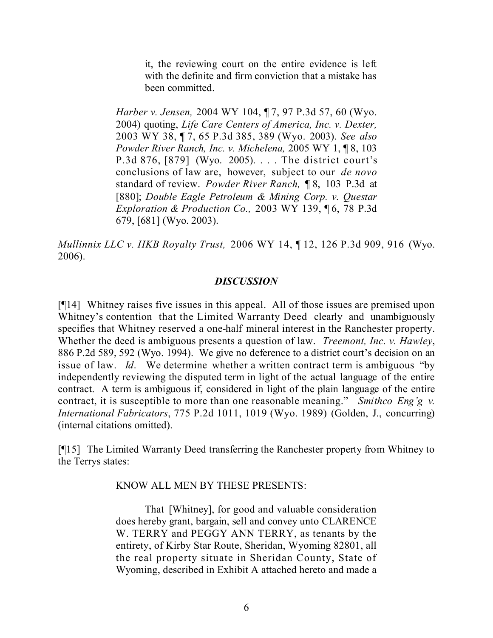it, the reviewing court on the entire evidence is left with the definite and firm conviction that a mistake has been committed.

*Harber v. Jensen,* 2004 WY 104, ¶ 7, 97 P.3d 57, 60 (Wyo. 2004) quoting, *Life Care Centers of America, Inc. v. Dexter,* 2003 WY 38, ¶ 7, 65 P.3d 385, 389 (Wyo. 2003). *See also Powder River Ranch, Inc. v. Michelena,* 2005 WY 1, ¶ 8, 103 P.3d 876, [879] (Wyo. 2005). . . . The district court's conclusions of law are, however, subject to our *de novo* standard of review. *Powder River Ranch,* ¶ 8, 103 P.3d at [880]; *Double Eagle Petroleum & Mining Corp. v. Questar Exploration & Production Co.,* 2003 WY 139, ¶ 6, 78 P.3d 679, [681] (Wyo. 2003).

*Mullinnix LLC v. HKB Royalty Trust,* 2006 WY 14, ¶ 12, 126 P.3d 909, 916 (Wyo. 2006).

### *DISCUSSION*

[¶14] Whitney raises five issues in this appeal. All of those issues are premised upon Whitney's contention that the Limited Warranty Deed clearly and unambiguously specifies that Whitney reserved a one-half mineral interest in the Ranchester property. Whether the deed is ambiguous presents a question of law. *Treemont, Inc. v. Hawley*, 886 P.2d 589, 592 (Wyo. 1994). We give no deference to a district court's decision on an issue of law. *Id*. We determine whether a written contract term is ambiguous "by independently reviewing the disputed term in light of the actual language of the entire contract. A term is ambiguous if, considered in light of the plain language of the entire contract, it is susceptible to more than one reasonable meaning." *Smithco Eng'g v. International Fabricators*, 775 P.2d 1011, 1019 (Wyo. 1989) (Golden, J., concurring) (internal citations omitted).

[¶15] The Limited Warranty Deed transferring the Ranchester property from Whitney to the Terrys states:

#### KNOW ALL MEN BY THESE PRESENTS:

That [Whitney], for good and valuable consideration does hereby grant, bargain, sell and convey unto CLARENCE W. TERRY and PEGGY ANN TERRY, as tenants by the entirety, of Kirby Star Route, Sheridan, Wyoming 82801, all the real property situate in Sheridan County, State of Wyoming, described in Exhibit A attached hereto and made a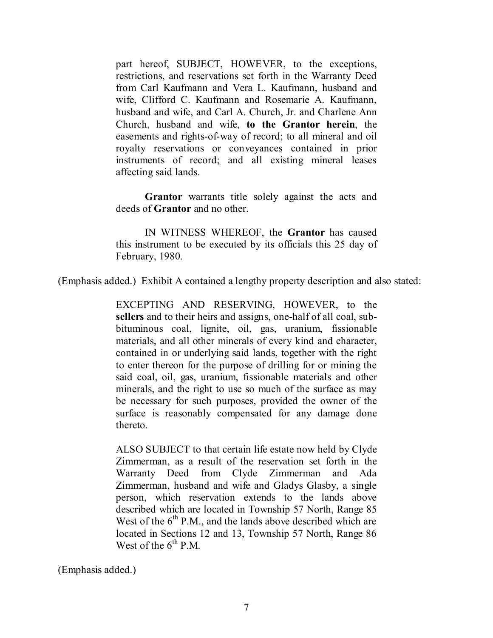part hereof, SUBJECT, HOWEVER, to the exceptions, restrictions, and reservations set forth in the Warranty Deed from Carl Kaufmann and Vera L. Kaufmann, husband and wife, Clifford C. Kaufmann and Rosemarie A. Kaufmann, husband and wife, and Carl A. Church, Jr. and Charlene Ann Church, husband and wife, **to the Grantor herein**, the easements and rights-of-way of record; to all mineral and oil royalty reservations or conveyances contained in prior instruments of record; and all existing mineral leases affecting said lands.

**Grantor** warrants title solely against the acts and deeds of **Grantor** and no other.

IN WITNESS WHEREOF, the **Grantor** has caused this instrument to be executed by its officials this 25 day of February, 1980.

(Emphasis added.) Exhibit A contained a lengthy property description and also stated:

EXCEPTING AND RESERVING, HOWEVER, to the **sellers** and to their heirs and assigns, one-half of all coal, subbituminous coal, lignite, oil, gas, uranium, fissionable materials, and all other minerals of every kind and character, contained in or underlying said lands, together with the right to enter thereon for the purpose of drilling for or mining the said coal, oil, gas, uranium, fissionable materials and other minerals, and the right to use so much of the surface as may be necessary for such purposes, provided the owner of the surface is reasonably compensated for any damage done thereto.

ALSO SUBJECT to that certain life estate now held by Clyde Zimmerman, as a result of the reservation set forth in the Warranty Deed from Clyde Zimmerman and Ada Zimmerman, husband and wife and Gladys Glasby, a single person, which reservation extends to the lands above described which are located in Township 57 North, Range 85 West of the  $6<sup>th</sup>$  P.M., and the lands above described which are located in Sections 12 and 13, Township 57 North, Range 86 West of the  $6^{\text{th}}$  P.M.

(Emphasis added.)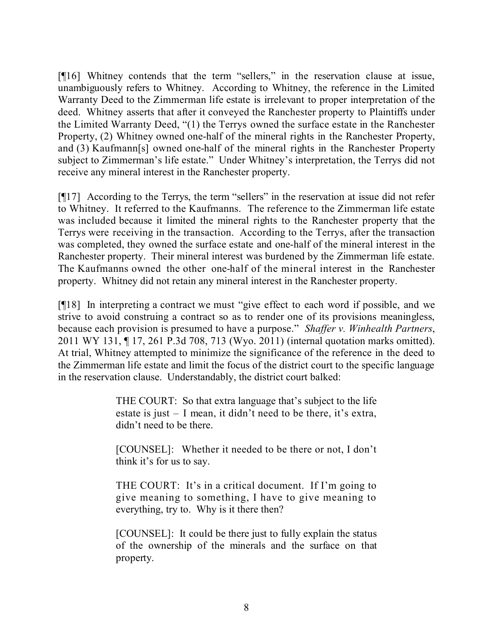[¶16] Whitney contends that the term "sellers," in the reservation clause at issue, unambiguously refers to Whitney. According to Whitney, the reference in the Limited Warranty Deed to the Zimmerman life estate is irrelevant to proper interpretation of the deed. Whitney asserts that after it conveyed the Ranchester property to Plaintiffs under the Limited Warranty Deed, "(1) the Terrys owned the surface estate in the Ranchester Property, (2) Whitney owned one-half of the mineral rights in the Ranchester Property, and (3) Kaufmann[s] owned one-half of the mineral rights in the Ranchester Property subject to Zimmerman's life estate." Under Whitney's interpretation, the Terrys did not receive any mineral interest in the Ranchester property.

[¶17] According to the Terrys, the term "sellers" in the reservation at issue did not refer to Whitney. It referred to the Kaufmanns. The reference to the Zimmerman life estate was included because it limited the mineral rights to the Ranchester property that the Terrys were receiving in the transaction. According to the Terrys, after the transaction was completed, they owned the surface estate and one-half of the mineral interest in the Ranchester property. Their mineral interest was burdened by the Zimmerman life estate. The Kaufmanns owned the other one-half of the mineral interest in the Ranchester property. Whitney did not retain any mineral interest in the Ranchester property.

[¶18] In interpreting a contract we must "give effect to each word if possible, and we strive to avoid construing a contract so as to render one of its provisions meaningless, because each provision is presumed to have a purpose." *Shaffer v. Winhealth Partners*, 2011 WY 131, ¶ 17, 261 P.3d 708, 713 (Wyo. 2011) (internal quotation marks omitted). At trial, Whitney attempted to minimize the significance of the reference in the deed to the Zimmerman life estate and limit the focus of the district court to the specific language in the reservation clause. Understandably, the district court balked:

> THE COURT: So that extra language that's subject to the life estate is just – I mean, it didn't need to be there, it's extra, didn't need to be there.

> [COUNSEL]: Whether it needed to be there or not, I don't think it's for us to say.

> THE COURT: It's in a critical document. If I'm going to give meaning to something, I have to give meaning to everything, try to. Why is it there then?

> [COUNSEL]: It could be there just to fully explain the status of the ownership of the minerals and the surface on that property.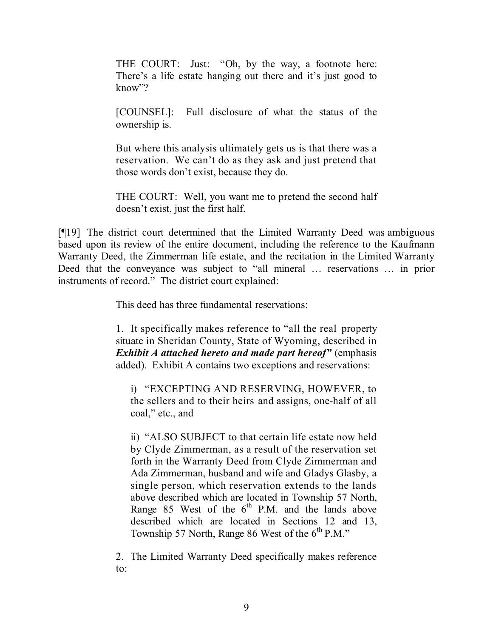THE COURT: Just: "Oh, by the way, a footnote here: There's a life estate hanging out there and it's just good to know"?

[COUNSEL]: Full disclosure of what the status of the ownership is.

But where this analysis ultimately gets us is that there was a reservation. We can't do as they ask and just pretend that those words don't exist, because they do.

THE COURT: Well, you want me to pretend the second half doesn't exist, just the first half.

[¶19] The district court determined that the Limited Warranty Deed was ambiguous based upon its review of the entire document, including the reference to the Kaufmann Warranty Deed, the Zimmerman life estate, and the recitation in the Limited Warranty Deed that the conveyance was subject to "all mineral … reservations … in prior instruments of record." The district court explained:

This deed has three fundamental reservations:

1. It specifically makes reference to "all the real property situate in Sheridan County, State of Wyoming, described in *Exhibit A attached hereto and made part hereof"* (emphasis added). Exhibit A contains two exceptions and reservations:

i) "EXCEPTING AND RESERVING, HOWEVER, to the sellers and to their heirs and assigns, one-half of all coal," etc., and

ii) "ALSO SUBJECT to that certain life estate now held by Clyde Zimmerman, as a result of the reservation set forth in the Warranty Deed from Clyde Zimmerman and Ada Zimmerman, husband and wife and Gladys Glasby, a single person, which reservation extends to the lands above described which are located in Township 57 North, Range 85 West of the  $6<sup>th</sup>$  P.M. and the lands above described which are located in Sections 12 and 13, Township 57 North, Range 86 West of the  $6^{th}$  P.M."

2. The Limited Warranty Deed specifically makes reference to: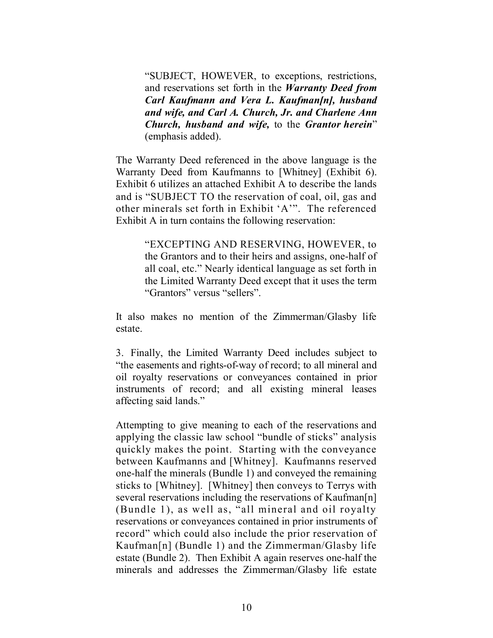"SUBJECT, HOWEVER, to exceptions, restrictions, and reservations set forth in the *Warranty Deed from Carl Kaufmann and Vera L. Kaufman[n], husband and wife, and Carl A. Church, Jr. and Charlene Ann Church, husband and wife,* to the *Grantor herein*" (emphasis added).

The Warranty Deed referenced in the above language is the Warranty Deed from Kaufmanns to [Whitney] (Exhibit 6). Exhibit 6 utilizes an attached Exhibit A to describe the lands and is "SUBJECT TO the reservation of coal, oil, gas and other minerals set forth in Exhibit 'A'". The referenced Exhibit A in turn contains the following reservation:

> "EXCEPTING AND RESERVING, HOWEVER, to the Grantors and to their heirs and assigns, one-half of all coal, etc." Nearly identical language as set forth in the Limited Warranty Deed except that it uses the term "Grantors" versus "sellers".

It also makes no mention of the Zimmerman/Glasby life estate.

3. Finally, the Limited Warranty Deed includes subject to "the easements and rights-of-way of record; to all mineral and oil royalty reservations or conveyances contained in prior instruments of record; and all existing mineral leases affecting said lands."

Attempting to give meaning to each of the reservations and applying the classic law school "bundle of sticks" analysis quickly makes the point. Starting with the conveyance between Kaufmanns and [Whitney]. Kaufmanns reserved one-half the minerals (Bundle 1) and conveyed the remaining sticks to [Whitney]. [Whitney] then conveys to Terrys with several reservations including the reservations of Kaufman[n] (Bundle 1), as well as, "all mineral and oil royalty reservations or conveyances contained in prior instruments of record" which could also include the prior reservation of Kaufman[n] (Bundle 1) and the Zimmerman/Glasby life estate (Bundle 2). Then Exhibit A again reserves one-half the minerals and addresses the Zimmerman/Glasby life estate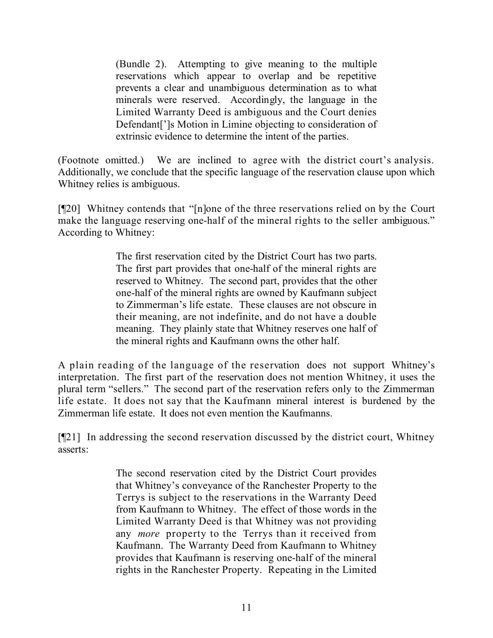(Bundle 2). Attempting to give meaning to the multiple reservations which appear to overlap and be repetitive prevents a clear and unambiguous determination as to what minerals were reserved. Accordingly, the language in the Limited Warranty Deed is ambiguous and the Court denies Defendant[']s Motion in Limine objecting to consideration of extrinsic evidence to determine the intent of the parties.

(Footnote omitted.) We are inclined to agree with the district court's analysis. Additionally, we conclude that the specific language of the reservation clause upon which Whitney relies is ambiguous.

[¶20] Whitney contends that "[n]one of the three reservations relied on by the Court make the language reserving one-half of the mineral rights to the seller ambiguous." According to Whitney:

> The first reservation cited by the District Court has two parts. The first part provides that one-half of the mineral rights are reserved to Whitney. The second part, provides that the other one-half of the mineral rights are owned by Kaufmann subject to Zimmerman's life estate. These clauses are not obscure in their meaning, are not indefinite, and do not have a double meaning. They plainly state that Whitney reserves one half of the mineral rights and Kaufmann owns the other half.

A plain reading of the language of the reservation does not support Whitney's interpretation. The first part of the reservation does not mention Whitney, it uses the plural term "sellers." The second part of the reservation refers only to the Zimmerman life estate. It does not say that the Kaufmann mineral interest is burdened by the Zimmerman life estate. It does not even mention the Kaufmanns.

[¶21] In addressing the second reservation discussed by the district court, Whitney asserts:

> The second reservation cited by the District Court provides that Whitney's conveyance of the Ranchester Property to the Terrys is subject to the reservations in the Warranty Deed from Kaufmann to Whitney. The effect of those words in the Limited Warranty Deed is that Whitney was not providing any *more* property to the Terrys than it received from Kaufmann. The Warranty Deed from Kaufmann to Whitney provides that Kaufmann is reserving one-half of the mineral rights in the Ranchester Property. Repeating in the Limited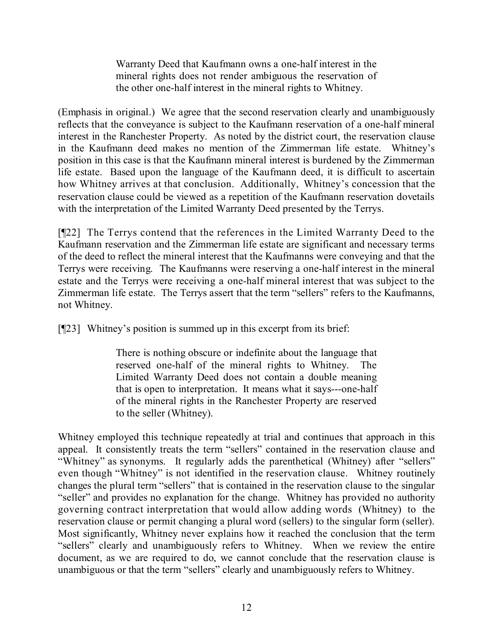Warranty Deed that Kaufmann owns a one-half interest in the mineral rights does not render ambiguous the reservation of the other one-half interest in the mineral rights to Whitney.

(Emphasis in original.) We agree that the second reservation clearly and unambiguously reflects that the conveyance is subject to the Kaufmann reservation of a one-half mineral interest in the Ranchester Property. As noted by the district court, the reservation clause in the Kaufmann deed makes no mention of the Zimmerman life estate. Whitney's position in this case is that the Kaufmann mineral interest is burdened by the Zimmerman life estate. Based upon the language of the Kaufmann deed, it is difficult to ascertain how Whitney arrives at that conclusion. Additionally, Whitney's concession that the reservation clause could be viewed as a repetition of the Kaufmann reservation dovetails with the interpretation of the Limited Warranty Deed presented by the Terrys.

[¶22] The Terrys contend that the references in the Limited Warranty Deed to the Kaufmann reservation and the Zimmerman life estate are significant and necessary terms of the deed to reflect the mineral interest that the Kaufmanns were conveying and that the Terrys were receiving. The Kaufmanns were reserving a one-half interest in the mineral estate and the Terrys were receiving a one-half mineral interest that was subject to the Zimmerman life estate. The Terrys assert that the term "sellers" refers to the Kaufmanns, not Whitney.

[¶23] Whitney's position is summed up in this excerpt from its brief:

There is nothing obscure or indefinite about the language that reserved one-half of the mineral rights to Whitney. The Limited Warranty Deed does not contain a double meaning that is open to interpretation. It means what it says---one-half of the mineral rights in the Ranchester Property are reserved to the seller (Whitney).

Whitney employed this technique repeatedly at trial and continues that approach in this appeal. It consistently treats the term "sellers" contained in the reservation clause and "Whitney" as synonyms. It regularly adds the parenthetical (Whitney) after "sellers" even though "Whitney" is not identified in the reservation clause. Whitney routinely changes the plural term "sellers" that is contained in the reservation clause to the singular "seller" and provides no explanation for the change. Whitney has provided no authority governing contract interpretation that would allow adding words (Whitney) to the reservation clause or permit changing a plural word (sellers) to the singular form (seller). Most significantly, Whitney never explains how it reached the conclusion that the term "sellers" clearly and unambiguously refers to Whitney. When we review the entire document, as we are required to do, we cannot conclude that the reservation clause is unambiguous or that the term "sellers" clearly and unambiguously refers to Whitney.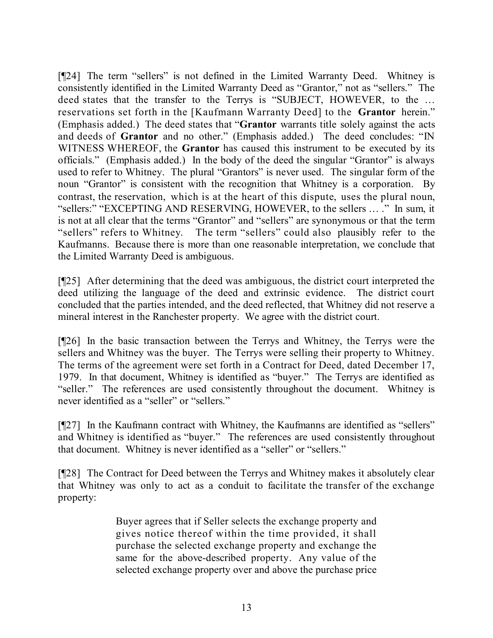[¶24] The term "sellers" is not defined in the Limited Warranty Deed. Whitney is consistently identified in the Limited Warranty Deed as "Grantor," not as "sellers." The deed states that the transfer to the Terrys is "SUBJECT, HOWEVER, to the … reservations set forth in the [Kaufmann Warranty Deed] to the **Grantor** herein." (Emphasis added.) The deed states that "**Grantor** warrants title solely against the acts and deeds of **Grantor** and no other." (Emphasis added.) The deed concludes: "IN WITNESS WHEREOF, the **Grantor** has caused this instrument to be executed by its officials." (Emphasis added.) In the body of the deed the singular "Grantor" is always used to refer to Whitney. The plural "Grantors" is never used. The singular form of the noun "Grantor" is consistent with the recognition that Whitney is a corporation. By contrast, the reservation, which is at the heart of this dispute, uses the plural noun, "sellers:" "EXCEPTING AND RESERVING, HOWEVER, to the sellers … ." In sum, it is not at all clear that the terms "Grantor" and "sellers" are synonymous or that the term "sellers" refers to Whitney. The term "sellers" could also plausibly refer to the Kaufmanns. Because there is more than one reasonable interpretation, we conclude that the Limited Warranty Deed is ambiguous.

[¶25] After determining that the deed was ambiguous, the district court interpreted the deed utilizing the language of the deed and extrinsic evidence. The district court concluded that the parties intended, and the deed reflected, that Whitney did not reserve a mineral interest in the Ranchester property. We agree with the district court.

[¶26] In the basic transaction between the Terrys and Whitney, the Terrys were the sellers and Whitney was the buyer. The Terrys were selling their property to Whitney. The terms of the agreement were set forth in a Contract for Deed, dated December 17, 1979. In that document, Whitney is identified as "buyer." The Terrys are identified as "seller." The references are used consistently throughout the document. Whitney is never identified as a "seller" or "sellers."

[¶27] In the Kaufmann contract with Whitney, the Kaufmanns are identified as "sellers" and Whitney is identified as "buyer." The references are used consistently throughout that document. Whitney is never identified as a "seller" or "sellers."

[¶28] The Contract for Deed between the Terrys and Whitney makes it absolutely clear that Whitney was only to act as a conduit to facilitate the transfer of the exchange property:

> Buyer agrees that if Seller selects the exchange property and gives notice thereof within the time provided, it shall purchase the selected exchange property and exchange the same for the above-described property. Any value of the selected exchange property over and above the purchase price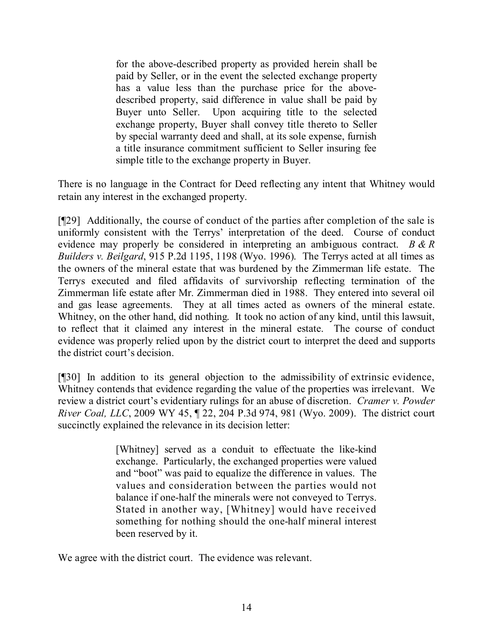for the above-described property as provided herein shall be paid by Seller, or in the event the selected exchange property has a value less than the purchase price for the abovedescribed property, said difference in value shall be paid by Buyer unto Seller. Upon acquiring title to the selected exchange property, Buyer shall convey title thereto to Seller by special warranty deed and shall, at its sole expense, furnish a title insurance commitment sufficient to Seller insuring fee simple title to the exchange property in Buyer.

There is no language in the Contract for Deed reflecting any intent that Whitney would retain any interest in the exchanged property.

[¶29] Additionally, the course of conduct of the parties after completion of the sale is uniformly consistent with the Terrys' interpretation of the deed. Course of conduct evidence may properly be considered in interpreting an ambiguous contract. *B & R Builders v. Beilgard*, 915 P.2d 1195, 1198 (Wyo. 1996). The Terrys acted at all times as the owners of the mineral estate that was burdened by the Zimmerman life estate. The Terrys executed and filed affidavits of survivorship reflecting termination of the Zimmerman life estate after Mr. Zimmerman died in 1988. They entered into several oil and gas lease agreements. They at all times acted as owners of the mineral estate. Whitney, on the other hand, did nothing. It took no action of any kind, until this lawsuit, to reflect that it claimed any interest in the mineral estate. The course of conduct evidence was properly relied upon by the district court to interpret the deed and supports the district court's decision.

[¶30] In addition to its general objection to the admissibility of extrinsic evidence, Whitney contends that evidence regarding the value of the properties was irrelevant. We review a district court's evidentiary rulings for an abuse of discretion. *Cramer v. Powder River Coal, LLC*, 2009 WY 45, ¶ 22, 204 P.3d 974, 981 (Wyo. 2009). The district court succinctly explained the relevance in its decision letter:

> [Whitney] served as a conduit to effectuate the like-kind exchange. Particularly, the exchanged properties were valued and "boot" was paid to equalize the difference in values. The values and consideration between the parties would not balance if one-half the minerals were not conveyed to Terrys. Stated in another way, [Whitney] would have received something for nothing should the one-half mineral interest been reserved by it.

We agree with the district court. The evidence was relevant.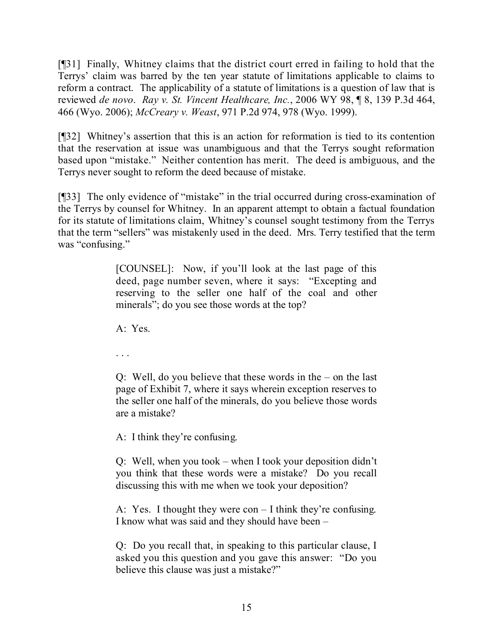[¶31] Finally, Whitney claims that the district court erred in failing to hold that the Terrys' claim was barred by the ten year statute of limitations applicable to claims to reform a contract. The applicability of a statute of limitations is a question of law that is reviewed *de novo*. *Ray v. St. Vincent Healthcare, Inc.*, 2006 WY 98, ¶ 8, 139 P.3d 464, 466 (Wyo. 2006); *McCreary v. Weast*, 971 P.2d 974, 978 (Wyo. 1999).

[¶32] Whitney's assertion that this is an action for reformation is tied to its contention that the reservation at issue was unambiguous and that the Terrys sought reformation based upon "mistake." Neither contention has merit. The deed is ambiguous, and the Terrys never sought to reform the deed because of mistake.

[¶33] The only evidence of "mistake" in the trial occurred during cross-examination of the Terrys by counsel for Whitney. In an apparent attempt to obtain a factual foundation for its statute of limitations claim, Whitney's counsel sought testimony from the Terrys that the term "sellers" was mistakenly used in the deed. Mrs. Terry testified that the term was "confusing."

> [COUNSEL]: Now, if you'll look at the last page of this deed, page number seven, where it says: "Excepting and reserving to the seller one half of the coal and other minerals"; do you see those words at the top?

A: Yes.

. . .

Q: Well, do you believe that these words in the – on the last page of Exhibit 7, where it says wherein exception reserves to the seller one half of the minerals, do you believe those words are a mistake?

A: I think they're confusing.

Q: Well, when you took – when I took your deposition didn't you think that these words were a mistake? Do you recall discussing this with me when we took your deposition?

A: Yes. I thought they were con – I think they're confusing. I know what was said and they should have been –

Q: Do you recall that, in speaking to this particular clause, I asked you this question and you gave this answer: "Do you believe this clause was just a mistake?"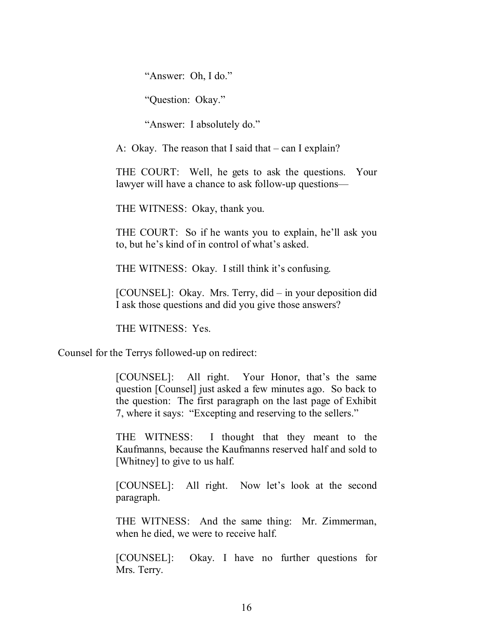"Answer: Oh, I do."

"Question: Okay."

"Answer: I absolutely do."

A: Okay. The reason that I said that – can I explain?

THE COURT: Well, he gets to ask the questions. Your lawyer will have a chance to ask follow-up questions—

THE WITNESS: Okay, thank you.

THE COURT: So if he wants you to explain, he'll ask you to, but he's kind of in control of what's asked.

THE WITNESS: Okay. I still think it's confusing.

[COUNSEL]: Okay. Mrs. Terry, did – in your deposition did I ask those questions and did you give those answers?

THE WITNESS: Yes.

Counsel for the Terrys followed-up on redirect:

[COUNSEL]: All right. Your Honor, that's the same question [Counsel] just asked a few minutes ago. So back to the question: The first paragraph on the last page of Exhibit 7, where it says: "Excepting and reserving to the sellers."

THE WITNESS: I thought that they meant to the Kaufmanns, because the Kaufmanns reserved half and sold to [Whitney] to give to us half.

[COUNSEL]: All right. Now let's look at the second paragraph.

THE WITNESS: And the same thing: Mr. Zimmerman, when he died, we were to receive half.

[COUNSEL]: Okay. I have no further questions for Mrs. Terry.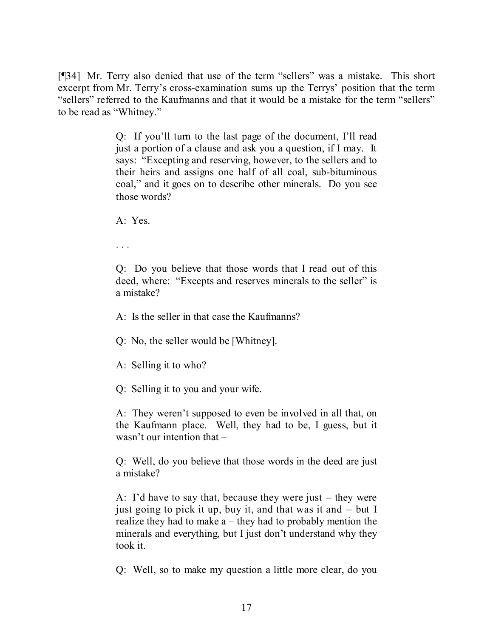[¶34] Mr. Terry also denied that use of the term "sellers" was a mistake. This short excerpt from Mr. Terry's cross-examination sums up the Terrys' position that the term "sellers" referred to the Kaufmanns and that it would be a mistake for the term "sellers" to be read as "Whitney."

> Q: If you'll turn to the last page of the document, I'll read just a portion of a clause and ask you a question, if I may. It says: "Excepting and reserving, however, to the sellers and to their heirs and assigns one half of all coal, sub-bituminous coal," and it goes on to describe other minerals. Do you see those words?

A: Yes.

. . .

Q: Do you believe that those words that I read out of this deed, where: "Excepts and reserves minerals to the seller" is a mistake?

A: Is the seller in that case the Kaufmanns?

Q: No, the seller would be [Whitney].

A: Selling it to who?

Q: Selling it to you and your wife.

A: They weren't supposed to even be involved in all that, on the Kaufmann place. Well, they had to be, I guess, but it wasn't our intention that –

Q: Well, do you believe that those words in the deed are just a mistake?

A: I'd have to say that, because they were just – they were just going to pick it up, buy it, and that was it and – but I realize they had to make  $a$  – they had to probably mention the minerals and everything, but I just don't understand why they took it.

Q: Well, so to make my question a little more clear, do you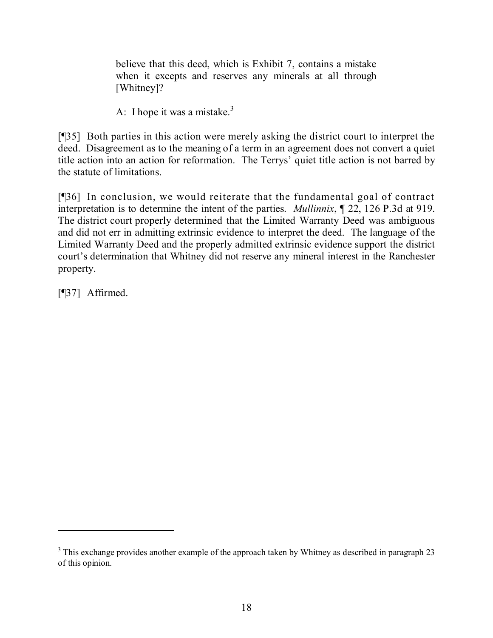believe that this deed, which is Exhibit 7, contains a mistake when it excepts and reserves any minerals at all through [Whitney]?

A: I hope it was a mistake.<sup>3</sup>

[¶35] Both parties in this action were merely asking the district court to interpret the deed. Disagreement as to the meaning of a term in an agreement does not convert a quiet title action into an action for reformation. The Terrys' quiet title action is not barred by the statute of limitations.

[¶36] In conclusion, we would reiterate that the fundamental goal of contract interpretation is to determine the intent of the parties. *Mullinnix*, ¶ 22, 126 P.3d at 919. The district court properly determined that the Limited Warranty Deed was ambiguous and did not err in admitting extrinsic evidence to interpret the deed. The language of the Limited Warranty Deed and the properly admitted extrinsic evidence support the district court's determination that Whitney did not reserve any mineral interest in the Ranchester property.

[¶37] Affirmed.

<sup>&</sup>lt;sup>3</sup> This exchange provides another example of the approach taken by Whitney as described in paragraph 23 of this opinion.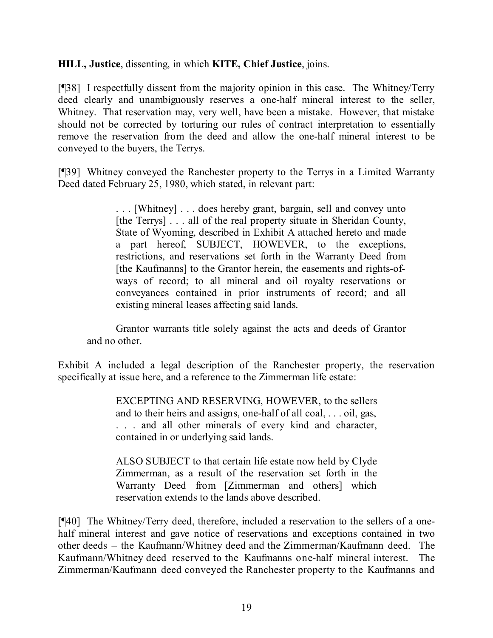## **HILL, Justice**, dissenting, in which **KITE, Chief Justice**, joins.

[¶38] I respectfully dissent from the majority opinion in this case. The Whitney/Terry deed clearly and unambiguously reserves a one-half mineral interest to the seller, Whitney. That reservation may, very well, have been a mistake. However, that mistake should not be corrected by torturing our rules of contract interpretation to essentially remove the reservation from the deed and allow the one-half mineral interest to be conveyed to the buyers, the Terrys.

[¶39] Whitney conveyed the Ranchester property to the Terrys in a Limited Warranty Deed dated February 25, 1980, which stated, in relevant part:

> . . . [Whitney] . . . does hereby grant, bargain, sell and convey unto [the Terrys] . . . all of the real property situate in Sheridan County, State of Wyoming, described in Exhibit A attached hereto and made a part hereof, SUBJECT, HOWEVER, to the exceptions, restrictions, and reservations set forth in the Warranty Deed from [the Kaufmanns] to the Grantor herein, the easements and rights-ofways of record; to all mineral and oil royalty reservations or conveyances contained in prior instruments of record; and all existing mineral leases affecting said lands.

Grantor warrants title solely against the acts and deeds of Grantor and no other.

Exhibit A included a legal description of the Ranchester property, the reservation specifically at issue here, and a reference to the Zimmerman life estate:

> EXCEPTING AND RESERVING, HOWEVER, to the sellers and to their heirs and assigns, one-half of all coal, . . . oil, gas, . . . and all other minerals of every kind and character, contained in or underlying said lands.

> ALSO SUBJECT to that certain life estate now held by Clyde Zimmerman, as a result of the reservation set forth in the Warranty Deed from [Zimmerman and others] which reservation extends to the lands above described.

[¶40] The Whitney/Terry deed, therefore, included a reservation to the sellers of a onehalf mineral interest and gave notice of reservations and exceptions contained in two other deeds – the Kaufmann/Whitney deed and the Zimmerman/Kaufmann deed. The Kaufmann/Whitney deed reserved to the Kaufmanns one-half mineral interest. The Zimmerman/Kaufmann deed conveyed the Ranchester property to the Kaufmanns and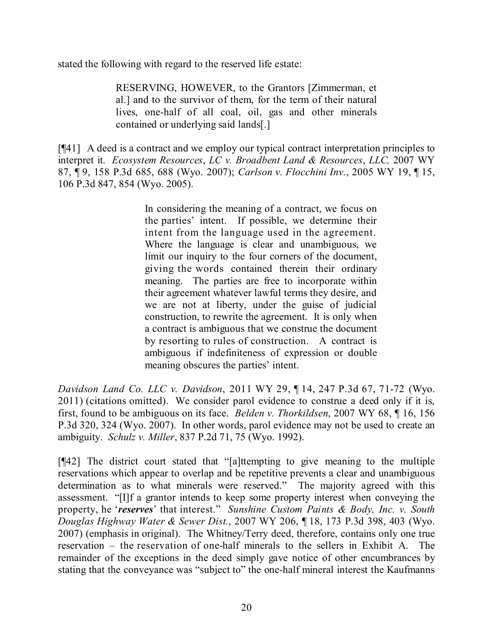stated the following with regard to the reserved life estate:

RESERVING, HOWEVER, to the Grantors [Zimmerman, et al.] and to the survivor of them, for the term of their natural lives, one-half of all coal, oil, gas and other minerals contained or underlying said lands[.]

[¶41] A deed is a contract and we employ our typical contract interpretation principles to interpret it. *Ecosystem Resources*, *LC v. Broadbent Land & Resources*, *LLC,* 2007 WY 87, ¶ 9, 158 P.3d 685, 688 (Wyo. 2007); *Carlson v. Flocchini Inv.*, 2005 WY 19, ¶ 15, 106 P.3d 847, 854 (Wyo. 2005).

> In considering the meaning of a contract, we focus on the parties' intent. If possible, we determine their intent from the language used in the agreement. Where the language is clear and unambiguous, we limit our inquiry to the four corners of the document, giving the words contained therein their ordinary meaning. The parties are free to incorporate within their agreement whatever lawful terms they desire, and we are not at liberty, under the guise of judicial construction, to rewrite the agreement. It is only when a contract is ambiguous that we construe the document by resorting to rules of construction. A contract is ambiguous if indefiniteness of expression or double meaning obscures the parties' intent.

*Davidson Land Co. LLC v. Davidson*, 2011 WY 29, ¶ 14, 247 P.3d 67, 71-72 (Wyo. 2011) (citations omitted). We consider parol evidence to construe a deed only if it is, first, found to be ambiguous on its face. *Belden v. Thorkildsen*, 2007 WY 68, ¶ 16, 156 P.3d 320, 324 (Wyo. 2007). In other words, parol evidence may not be used to create an ambiguity. *Schulz v. Miller*, 837 P.2d 71, 75 (Wyo. 1992).

[¶42] The district court stated that "[a]ttempting to give meaning to the multiple reservations which appear to overlap and be repetitive prevents a clear and unambiguous determination as to what minerals were reserved." The majority agreed with this assessment. "[I]f a grantor intends to keep some property interest when conveying the property, he '*reserves*' that interest." *Sunshine Custom Paints & Body, Inc. v. South Douglas Highway Water & Sewer Dist.*, 2007 WY 206, ¶ 18, 173 P.3d 398, 403 (Wyo. 2007) (emphasis in original). The Whitney/Terry deed, therefore, contains only one true reservation – the reservation of one-half minerals to the sellers in Exhibit A. The remainder of the exceptions in the deed simply gave notice of other encumbrances by stating that the conveyance was "subject to" the one-half mineral interest the Kaufmanns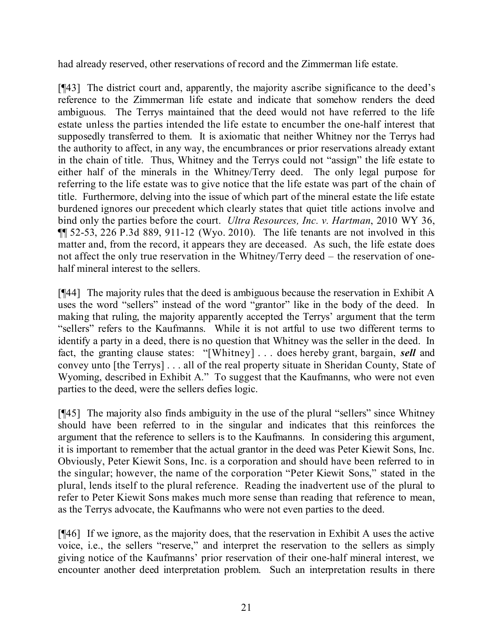had already reserved, other reservations of record and the Zimmerman life estate.

[¶43] The district court and, apparently, the majority ascribe significance to the deed's reference to the Zimmerman life estate and indicate that somehow renders the deed ambiguous. The Terrys maintained that the deed would not have referred to the life estate unless the parties intended the life estate to encumber the one-half interest that supposedly transferred to them. It is axiomatic that neither Whitney nor the Terrys had the authority to affect, in any way, the encumbrances or prior reservations already extant in the chain of title. Thus, Whitney and the Terrys could not "assign" the life estate to either half of the minerals in the Whitney/Terry deed. The only legal purpose for referring to the life estate was to give notice that the life estate was part of the chain of title. Furthermore, delving into the issue of which part of the mineral estate the life estate burdened ignores our precedent which clearly states that quiet title actions involve and bind only the parties before the court. *Ultra Resources, Inc. v. Hartman*, 2010 WY 36,  $\P$  52-53, 226 P.3d 889, 911-12 (Wyo. 2010). The life tenants are not involved in this matter and, from the record, it appears they are deceased. As such, the life estate does not affect the only true reservation in the Whitney/Terry deed – the reservation of onehalf mineral interest to the sellers.

[¶44] The majority rules that the deed is ambiguous because the reservation in Exhibit A uses the word "sellers" instead of the word "grantor" like in the body of the deed. In making that ruling, the majority apparently accepted the Terrys' argument that the term "sellers" refers to the Kaufmanns. While it is not artful to use two different terms to identify a party in a deed, there is no question that Whitney was the seller in the deed. In fact, the granting clause states: "[Whitney] . . . does hereby grant, bargain, *sell* and convey unto [the Terrys] . . . all of the real property situate in Sheridan County, State of Wyoming, described in Exhibit A." To suggest that the Kaufmanns, who were not even parties to the deed, were the sellers defies logic.

[¶45] The majority also finds ambiguity in the use of the plural "sellers" since Whitney should have been referred to in the singular and indicates that this reinforces the argument that the reference to sellers is to the Kaufmanns. In considering this argument, it is important to remember that the actual grantor in the deed was Peter Kiewit Sons, Inc. Obviously, Peter Kiewit Sons, Inc. is a corporation and should have been referred to in the singular; however, the name of the corporation "Peter Kiewit Sons," stated in the plural, lends itself to the plural reference. Reading the inadvertent use of the plural to refer to Peter Kiewit Sons makes much more sense than reading that reference to mean, as the Terrys advocate, the Kaufmanns who were not even parties to the deed.

[¶46] If we ignore, as the majority does, that the reservation in Exhibit A uses the active voice, i.e., the sellers "reserve," and interpret the reservation to the sellers as simply giving notice of the Kaufmanns' prior reservation of their one-half mineral interest, we encounter another deed interpretation problem. Such an interpretation results in there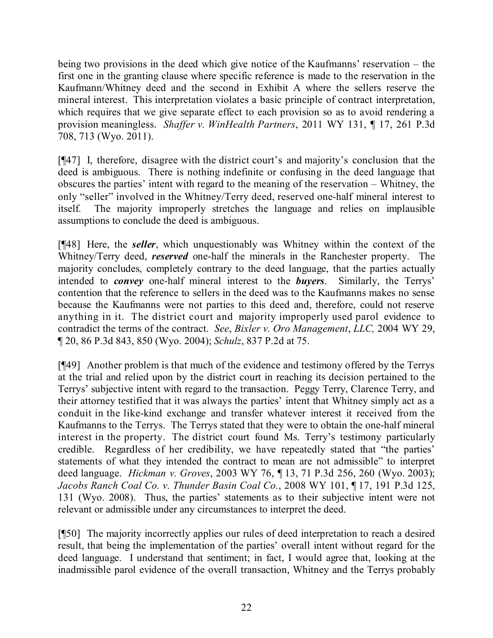being two provisions in the deed which give notice of the Kaufmanns' reservation – the first one in the granting clause where specific reference is made to the reservation in the Kaufmann/Whitney deed and the second in Exhibit A where the sellers reserve the mineral interest. This interpretation violates a basic principle of contract interpretation, which requires that we give separate effect to each provision so as to avoid rendering a provision meaningless. *Shaffer v. WinHealth Partners*, 2011 WY 131, ¶ 17, 261 P.3d 708, 713 (Wyo. 2011).

[¶47] I, therefore, disagree with the district court's and majority's conclusion that the deed is ambiguous. There is nothing indefinite or confusing in the deed language that obscures the parties' intent with regard to the meaning of the reservation – Whitney, the only "seller" involved in the Whitney/Terry deed, reserved one-half mineral interest to itself. The majority improperly stretches the language and relies on implausible assumptions to conclude the deed is ambiguous.

[¶48] Here, the *seller*, which unquestionably was Whitney within the context of the Whitney/Terry deed, *reserved* one-half the minerals in the Ranchester property. The majority concludes, completely contrary to the deed language, that the parties actually intended to *convey* one-half mineral interest to the *buyers*. Similarly, the Terrys' contention that the reference to sellers in the deed was to the Kaufmanns makes no sense because the Kaufmanns were not parties to this deed and, therefore, could not reserve anything in it. The district court and majority improperly used parol evidence to contradict the terms of the contract. *See*, *Bixler v. Oro Management*, *LLC,* 2004 WY 29, ¶ 20, 86 P.3d 843, 850 (Wyo. 2004); *Schulz*, 837 P.2d at 75.

[¶49] Another problem is that much of the evidence and testimony offered by the Terrys at the trial and relied upon by the district court in reaching its decision pertained to the Terrys' subjective intent with regard to the transaction. Peggy Terry, Clarence Terry, and their attorney testified that it was always the parties' intent that Whitney simply act as a conduit in the like-kind exchange and transfer whatever interest it received from the Kaufmanns to the Terrys. The Terrys stated that they were to obtain the one-half mineral interest in the property. The district court found Ms. Terry's testimony particularly credible. Regardless of her credibility, we have repeatedly stated that "the parties' statements of what they intended the contract to mean are not admissible" to interpret deed language. *Hickman v. Groves*, 2003 WY 76, ¶ 13, 71 P.3d 256, 260 (Wyo. 2003); *Jacobs Ranch Coal Co. v. Thunder Basin Coal Co.*, 2008 WY 101, ¶ 17, 191 P.3d 125, 131 (Wyo. 2008). Thus, the parties' statements as to their subjective intent were not relevant or admissible under any circumstances to interpret the deed.

[¶50] The majority incorrectly applies our rules of deed interpretation to reach a desired result, that being the implementation of the parties' overall intent without regard for the deed language. I understand that sentiment; in fact, I would agree that, looking at the inadmissible parol evidence of the overall transaction, Whitney and the Terrys probably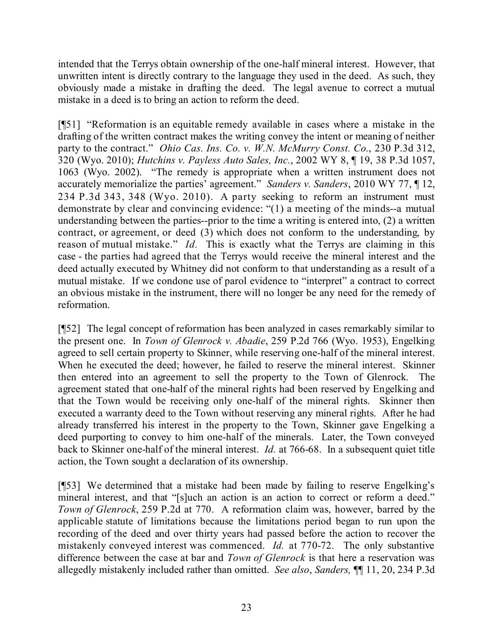intended that the Terrys obtain ownership of the one-half mineral interest. However, that unwritten intent is directly contrary to the language they used in the deed. As such, they obviously made a mistake in drafting the deed. The legal avenue to correct a mutual mistake in a deed is to bring an action to reform the deed.

[¶51] "Reformation is an equitable remedy available in cases where a mistake in the drafting of the written contract makes the writing convey the intent or meaning of neither party to the contract." *Ohio Cas. Ins. Co. v. W.N. McMurry Const. Co.*, 230 P.3d 312, 320 (Wyo. 2010); *Hutchins v. Payless Auto Sales, Inc.*, 2002 WY 8, ¶ 19, 38 P.3d 1057, 1063 (Wyo. 2002). "The remedy is appropriate when a written instrument does not accurately memorialize the parties' agreement." *Sanders v. Sanders*, 2010 WY 77, ¶ 12, 234 P.3d 343, 348 (Wyo. 2010). A party seeking to reform an instrument must demonstrate by clear and convincing evidence: "(1) a meeting of the minds--a mutual understanding between the parties--prior to the time a writing is entered into, (2) a written contract, or agreement, or deed (3) which does not conform to the understanding, by reason of mutual mistake." *Id.* This is exactly what the Terrys are claiming in this case - the parties had agreed that the Terrys would receive the mineral interest and the deed actually executed by Whitney did not conform to that understanding as a result of a mutual mistake. If we condone use of parol evidence to "interpret" a contract to correct an obvious mistake in the instrument, there will no longer be any need for the remedy of reformation.

[¶52] The legal concept of reformation has been analyzed in cases remarkably similar to the present one. In *Town of Glenrock v. Abadie*, 259 P.2d 766 (Wyo. 1953), Engelking agreed to sell certain property to Skinner, while reserving one-half of the mineral interest. When he executed the deed; however, he failed to reserve the mineral interest. Skinner then entered into an agreement to sell the property to the Town of Glenrock. The agreement stated that one-half of the mineral rights had been reserved by Engelking and that the Town would be receiving only one-half of the mineral rights. Skinner then executed a warranty deed to the Town without reserving any mineral rights. After he had already transferred his interest in the property to the Town, Skinner gave Engelking a deed purporting to convey to him one-half of the minerals. Later, the Town conveyed back to Skinner one-half of the mineral interest. *Id.* at 766-68. In a subsequent quiet title action, the Town sought a declaration of its ownership.

[¶53] We determined that a mistake had been made by failing to reserve Engelking's mineral interest, and that "[s]uch an action is an action to correct or reform a deed." *Town of Glenrock*, 259 P.2d at 770. A reformation claim was, however, barred by the applicable statute of limitations because the limitations period began to run upon the recording of the deed and over thirty years had passed before the action to recover the mistakenly conveyed interest was commenced. *Id.* at 770-72. The only substantive difference between the case at bar and *Town of Glenrock* is that here a reservation was allegedly mistakenly included rather than omitted. *See also*, *Sanders,* ¶¶ 11, 20, 234 P.3d